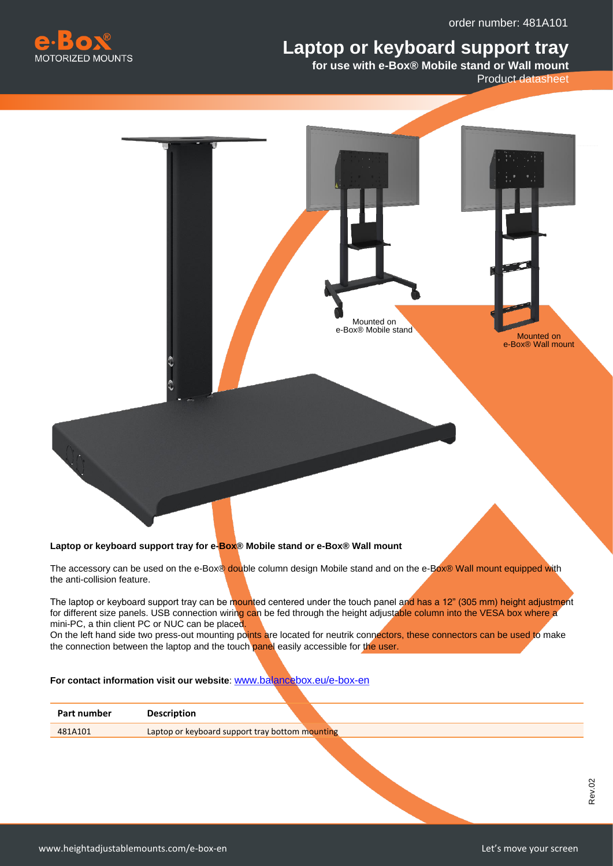## **Laptop or keyboard support tray**



**for use with e-Box® Mobile stand or Wall mount** 

Product datasheet



## **Laptop or keyboard support tray for e-Box® Mobile stand or e-Box® Wall mount**

The accessory can be used on the e-Box® double column design Mobile stand and on the e-Box® Wall mount equipped with the anti-collision feature.

The laptop or keyboard support tray can be mounted centered under the touch panel and has a 12" (305 mm) height adjustment for different size panels. USB connection wiring can be fed through the height adjustable column into the VESA box where a mini-PC, a thin client PC or NUC can be placed.

On the left hand side two press-out mounting points are located for neutrik connectors, these connectors can be used to make the connection between the laptop and the touch panel easily accessible for the user.

## **For contact information visit our website**: [www.balancebox.eu/e-box-en](http://www.balancebox.eu/e-box-en)

| Part number | <b>Description</b>                              |  |  |
|-------------|-------------------------------------------------|--|--|
| 481A101     | Laptop or keyboard support tray bottom mounting |  |  |